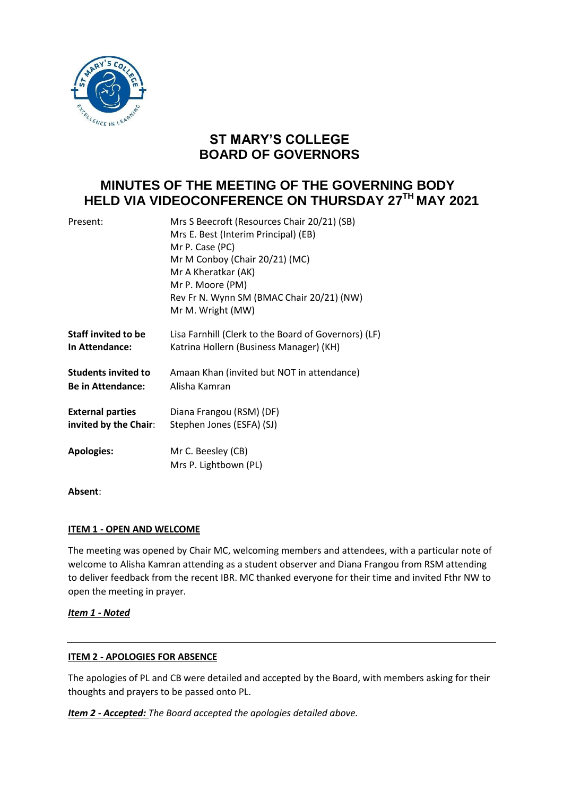

# **ST MARY'S COLLEGE BOARD OF GOVERNORS**

# **MINUTES OF THE MEETING OF THE GOVERNING BODY HELD VIA VIDEOCONFERENCE ON THURSDAY 27 TH MAY 2021**

| Present:                   | Mrs S Beecroft (Resources Chair 20/21) (SB)<br>Mrs E. Best (Interim Principal) (EB)<br>Mr P. Case (PC)<br>Mr M Conboy (Chair 20/21) (MC)<br>Mr A Kheratkar (AK)<br>Mr P. Moore (PM)<br>Rev Fr N. Wynn SM (BMAC Chair 20/21) (NW)<br>Mr M. Wright (MW) |
|----------------------------|-------------------------------------------------------------------------------------------------------------------------------------------------------------------------------------------------------------------------------------------------------|
| <b>Staff invited to be</b> | Lisa Farnhill (Clerk to the Board of Governors) (LF)                                                                                                                                                                                                  |
| <b>In Attendance:</b>      | Katrina Hollern (Business Manager) (KH)                                                                                                                                                                                                               |
| <b>Students invited to</b> | Amaan Khan (invited but NOT in attendance)                                                                                                                                                                                                            |
| <b>Be in Attendance:</b>   | Alisha Kamran                                                                                                                                                                                                                                         |
| <b>External parties</b>    | Diana Frangou (RSM) (DF)                                                                                                                                                                                                                              |
| invited by the Chair:      | Stephen Jones (ESFA) (SJ)                                                                                                                                                                                                                             |
| <b>Apologies:</b>          | Mr C. Beesley (CB)<br>Mrs P. Lightbown (PL)                                                                                                                                                                                                           |

**Absent**:

## **ITEM 1 - OPEN AND WELCOME**

The meeting was opened by Chair MC, welcoming members and attendees, with a particular note of welcome to Alisha Kamran attending as a student observer and Diana Frangou from RSM attending to deliver feedback from the recent IBR. MC thanked everyone for their time and invited Fthr NW to open the meeting in prayer.

*Item 1 - Noted*

## **ITEM 2 - APOLOGIES FOR ABSENCE**

The apologies of PL and CB were detailed and accepted by the Board, with members asking for their thoughts and prayers to be passed onto PL.

*Item 2 - Accepted: The Board accepted the apologies detailed above.*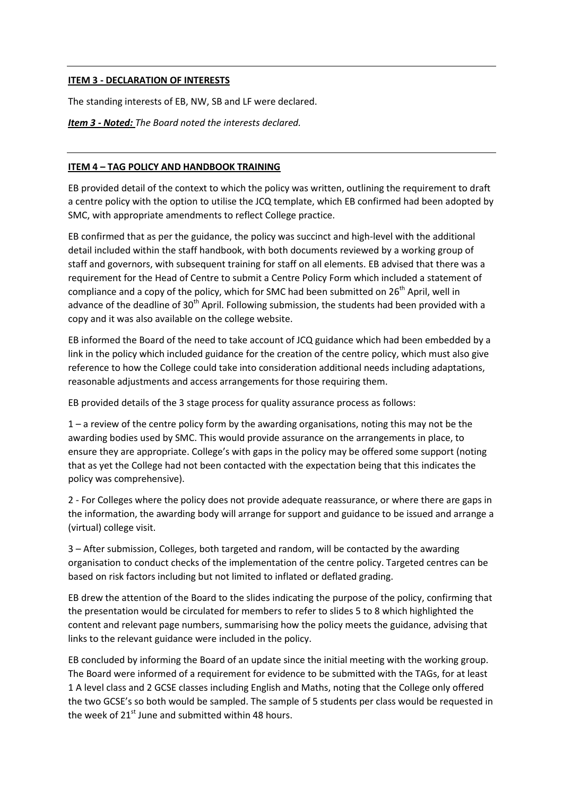#### **ITEM 3 - DECLARATION OF INTERESTS**

The standing interests of EB, NW, SB and LF were declared.

*Item 3 - Noted: The Board noted the interests declared.*

#### **ITEM 4 – TAG POLICY AND HANDBOOK TRAINING**

EB provided detail of the context to which the policy was written, outlining the requirement to draft a centre policy with the option to utilise the JCQ template, which EB confirmed had been adopted by SMC, with appropriate amendments to reflect College practice.

EB confirmed that as per the guidance, the policy was succinct and high-level with the additional detail included within the staff handbook, with both documents reviewed by a working group of staff and governors, with subsequent training for staff on all elements. EB advised that there was a requirement for the Head of Centre to submit a Centre Policy Form which included a statement of compliance and a copy of the policy, which for SMC had been submitted on  $26<sup>th</sup>$  April, well in advance of the deadline of 30<sup>th</sup> April. Following submission, the students had been provided with a copy and it was also available on the college website.

EB informed the Board of the need to take account of JCQ guidance which had been embedded by a link in the policy which included guidance for the creation of the centre policy, which must also give reference to how the College could take into consideration additional needs including adaptations, reasonable adjustments and access arrangements for those requiring them.

EB provided details of the 3 stage process for quality assurance process as follows:

1 – a review of the centre policy form by the awarding organisations, noting this may not be the awarding bodies used by SMC. This would provide assurance on the arrangements in place, to ensure they are appropriate. College's with gaps in the policy may be offered some support (noting that as yet the College had not been contacted with the expectation being that this indicates the policy was comprehensive).

2 - For Colleges where the policy does not provide adequate reassurance, or where there are gaps in the information, the awarding body will arrange for support and guidance to be issued and arrange a (virtual) college visit.

3 – After submission, Colleges, both targeted and random, will be contacted by the awarding organisation to conduct checks of the implementation of the centre policy. Targeted centres can be based on risk factors including but not limited to inflated or deflated grading.

EB drew the attention of the Board to the slides indicating the purpose of the policy, confirming that the presentation would be circulated for members to refer to slides 5 to 8 which highlighted the content and relevant page numbers, summarising how the policy meets the guidance, advising that links to the relevant guidance were included in the policy.

EB concluded by informing the Board of an update since the initial meeting with the working group. The Board were informed of a requirement for evidence to be submitted with the TAGs, for at least 1 A level class and 2 GCSE classes including English and Maths, noting that the College only offered the two GCSE's so both would be sampled. The sample of 5 students per class would be requested in the week of  $21^{st}$  June and submitted within 48 hours.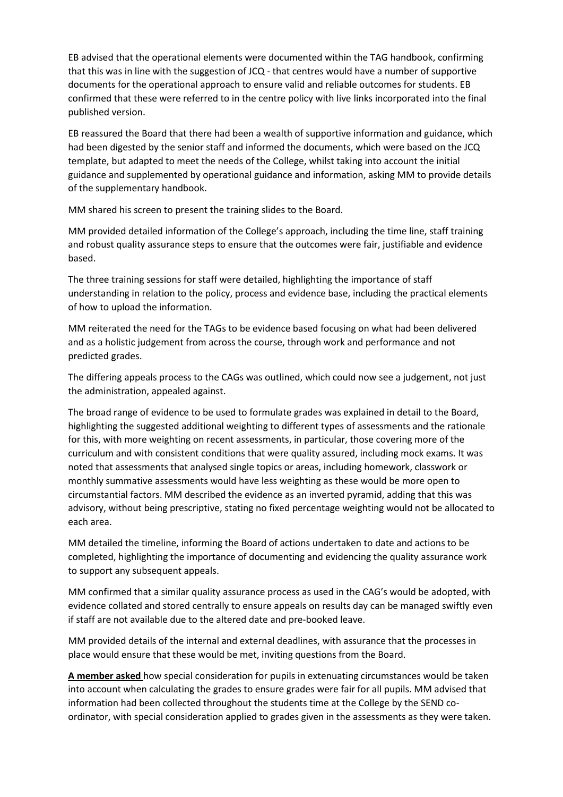EB advised that the operational elements were documented within the TAG handbook, confirming that this was in line with the suggestion of JCQ - that centres would have a number of supportive documents for the operational approach to ensure valid and reliable outcomes for students. EB confirmed that these were referred to in the centre policy with live links incorporated into the final published version.

EB reassured the Board that there had been a wealth of supportive information and guidance, which had been digested by the senior staff and informed the documents, which were based on the JCQ template, but adapted to meet the needs of the College, whilst taking into account the initial guidance and supplemented by operational guidance and information, asking MM to provide details of the supplementary handbook.

MM shared his screen to present the training slides to the Board.

MM provided detailed information of the College's approach, including the time line, staff training and robust quality assurance steps to ensure that the outcomes were fair, justifiable and evidence based.

The three training sessions for staff were detailed, highlighting the importance of staff understanding in relation to the policy, process and evidence base, including the practical elements of how to upload the information.

MM reiterated the need for the TAGs to be evidence based focusing on what had been delivered and as a holistic judgement from across the course, through work and performance and not predicted grades.

The differing appeals process to the CAGs was outlined, which could now see a judgement, not just the administration, appealed against.

The broad range of evidence to be used to formulate grades was explained in detail to the Board, highlighting the suggested additional weighting to different types of assessments and the rationale for this, with more weighting on recent assessments, in particular, those covering more of the curriculum and with consistent conditions that were quality assured, including mock exams. It was noted that assessments that analysed single topics or areas, including homework, classwork or monthly summative assessments would have less weighting as these would be more open to circumstantial factors. MM described the evidence as an inverted pyramid, adding that this was advisory, without being prescriptive, stating no fixed percentage weighting would not be allocated to each area.

MM detailed the timeline, informing the Board of actions undertaken to date and actions to be completed, highlighting the importance of documenting and evidencing the quality assurance work to support any subsequent appeals.

MM confirmed that a similar quality assurance process as used in the CAG's would be adopted, with evidence collated and stored centrally to ensure appeals on results day can be managed swiftly even if staff are not available due to the altered date and pre-booked leave.

MM provided details of the internal and external deadlines, with assurance that the processes in place would ensure that these would be met, inviting questions from the Board.

**A member asked** how special consideration for pupils in extenuating circumstances would be taken into account when calculating the grades to ensure grades were fair for all pupils. MM advised that information had been collected throughout the students time at the College by the SEND coordinator, with special consideration applied to grades given in the assessments as they were taken.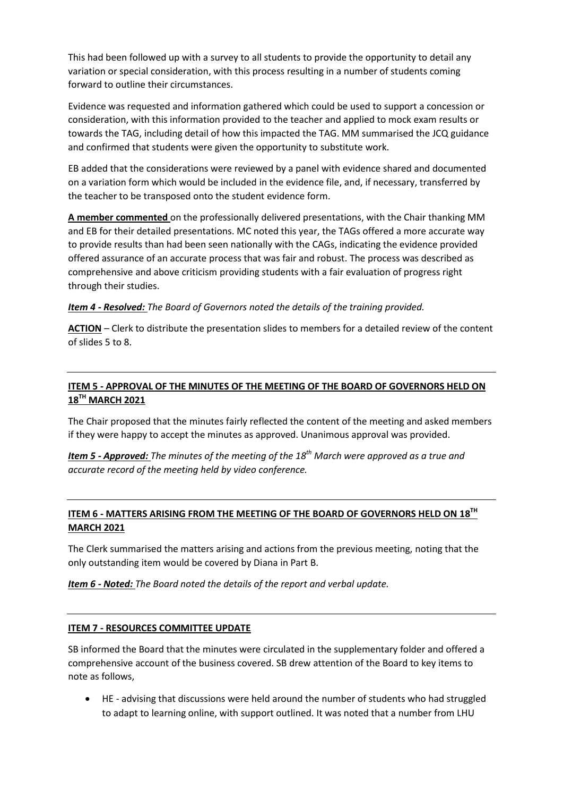This had been followed up with a survey to all students to provide the opportunity to detail any variation or special consideration, with this process resulting in a number of students coming forward to outline their circumstances.

Evidence was requested and information gathered which could be used to support a concession or consideration, with this information provided to the teacher and applied to mock exam results or towards the TAG, including detail of how this impacted the TAG. MM summarised the JCQ guidance and confirmed that students were given the opportunity to substitute work.

EB added that the considerations were reviewed by a panel with evidence shared and documented on a variation form which would be included in the evidence file, and, if necessary, transferred by the teacher to be transposed onto the student evidence form.

**A member commented** on the professionally delivered presentations, with the Chair thanking MM and EB for their detailed presentations. MC noted this year, the TAGs offered a more accurate way to provide results than had been seen nationally with the CAGs, indicating the evidence provided offered assurance of an accurate process that was fair and robust. The process was described as comprehensive and above criticism providing students with a fair evaluation of progress right through their studies.

#### *Item 4 - Resolved: The Board of Governors noted the details of the training provided.*

**ACTION** – Clerk to distribute the presentation slides to members for a detailed review of the content of slides 5 to 8.

# **ITEM 5 - APPROVAL OF THE MINUTES OF THE MEETING OF THE BOARD OF GOVERNORS HELD ON 18 TH MARCH 2021**

The Chair proposed that the minutes fairly reflected the content of the meeting and asked members if they were happy to accept the minutes as approved. Unanimous approval was provided.

*Item 5 - Approved: The minutes of the meeting of the 18 th March were approved as a true and accurate record of the meeting held by video conference.* 

# <u>ITEM 6 - MATTERS ARISING FROM THE MEETING OF THE BOARD OF GOVERNORS HELD ON 18TH</u> **MARCH 2021**

The Clerk summarised the matters arising and actions from the previous meeting, noting that the only outstanding item would be covered by Diana in Part B.

*Item 6 - Noted: The Board noted the details of the report and verbal update.* 

## **ITEM 7 - RESOURCES COMMITTEE UPDATE**

SB informed the Board that the minutes were circulated in the supplementary folder and offered a comprehensive account of the business covered. SB drew attention of the Board to key items to note as follows,

 HE - advising that discussions were held around the number of students who had struggled to adapt to learning online, with support outlined. It was noted that a number from LHU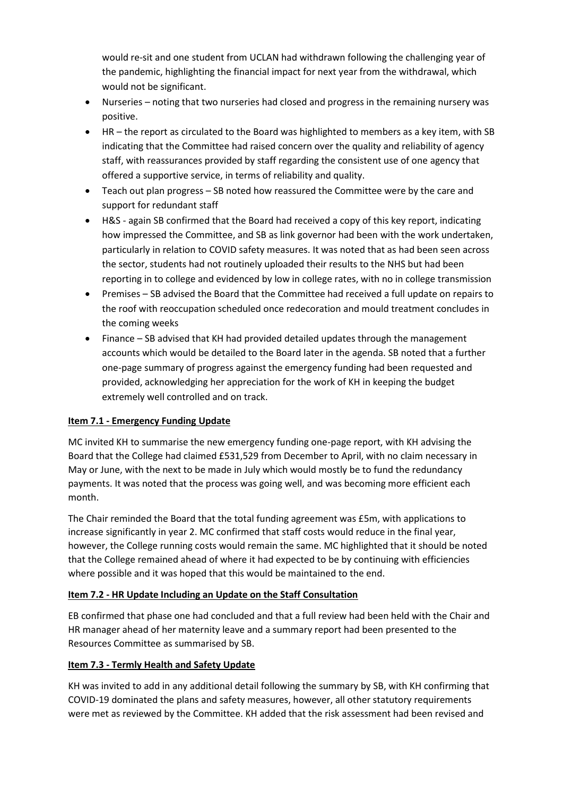would re-sit and one student from UCLAN had withdrawn following the challenging year of the pandemic, highlighting the financial impact for next year from the withdrawal, which would not be significant.

- Nurseries noting that two nurseries had closed and progress in the remaining nursery was positive.
- HR the report as circulated to the Board was highlighted to members as a key item, with SB indicating that the Committee had raised concern over the quality and reliability of agency staff, with reassurances provided by staff regarding the consistent use of one agency that offered a supportive service, in terms of reliability and quality.
- Teach out plan progress SB noted how reassured the Committee were by the care and support for redundant staff
- H&S again SB confirmed that the Board had received a copy of this key report, indicating how impressed the Committee, and SB as link governor had been with the work undertaken, particularly in relation to COVID safety measures. It was noted that as had been seen across the sector, students had not routinely uploaded their results to the NHS but had been reporting in to college and evidenced by low in college rates, with no in college transmission
- Premises SB advised the Board that the Committee had received a full update on repairs to the roof with reoccupation scheduled once redecoration and mould treatment concludes in the coming weeks
- Finance SB advised that KH had provided detailed updates through the management accounts which would be detailed to the Board later in the agenda. SB noted that a further one-page summary of progress against the emergency funding had been requested and provided, acknowledging her appreciation for the work of KH in keeping the budget extremely well controlled and on track.

# **Item 7.1 - Emergency Funding Update**

MC invited KH to summarise the new emergency funding one-page report, with KH advising the Board that the College had claimed £531,529 from December to April, with no claim necessary in May or June, with the next to be made in July which would mostly be to fund the redundancy payments. It was noted that the process was going well, and was becoming more efficient each month.

The Chair reminded the Board that the total funding agreement was £5m, with applications to increase significantly in year 2. MC confirmed that staff costs would reduce in the final year, however, the College running costs would remain the same. MC highlighted that it should be noted that the College remained ahead of where it had expected to be by continuing with efficiencies where possible and it was hoped that this would be maintained to the end.

## **Item 7.2 - HR Update Including an Update on the Staff Consultation**

EB confirmed that phase one had concluded and that a full review had been held with the Chair and HR manager ahead of her maternity leave and a summary report had been presented to the Resources Committee as summarised by SB.

## **Item 7.3 - Termly Health and Safety Update**

KH was invited to add in any additional detail following the summary by SB, with KH confirming that COVID-19 dominated the plans and safety measures, however, all other statutory requirements were met as reviewed by the Committee. KH added that the risk assessment had been revised and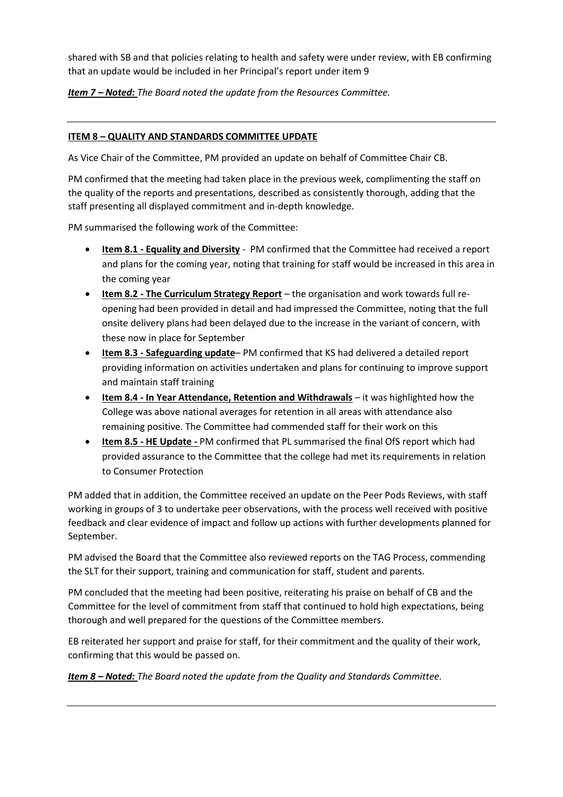shared with SB and that policies relating to health and safety were under review, with EB confirming that an update would be included in her Principal's report under item 9

*Item 7 – Noted: The Board noted the update from the Resources Committee.*

# **ITEM 8 – QUALITY AND STANDARDS COMMITTEE UPDATE**

As Vice Chair of the Committee, PM provided an update on behalf of Committee Chair CB.

PM confirmed that the meeting had taken place in the previous week, complimenting the staff on the quality of the reports and presentations, described as consistently thorough, adding that the staff presenting all displayed commitment and in-depth knowledge.

PM summarised the following work of the Committee:

- **Item 8.1 - Equality and Diversity** PM confirmed that the Committee had received a report and plans for the coming year, noting that training for staff would be increased in this area in the coming year
- **Item 8.2 - The Curriculum Strategy Report** the organisation and work towards full reopening had been provided in detail and had impressed the Committee, noting that the full onsite delivery plans had been delayed due to the increase in the variant of concern, with these now in place for September
- **Item 8.3 - Safeguarding update** PM confirmed that KS had delivered a detailed report providing information on activities undertaken and plans for continuing to improve support and maintain staff training
- **Item 8.4 - In Year Attendance, Retention and Withdrawals** it was highlighted how the College was above national averages for retention in all areas with attendance also remaining positive. The Committee had commended staff for their work on this
- **Item 8.5 - HE Update -** PM confirmed that PL summarised the final OfS report which had provided assurance to the Committee that the college had met its requirements in relation to Consumer Protection

PM added that in addition, the Committee received an update on the Peer Pods Reviews, with staff working in groups of 3 to undertake peer observations, with the process well received with positive feedback and clear evidence of impact and follow up actions with further developments planned for September.

PM advised the Board that the Committee also reviewed reports on the TAG Process, commending the SLT for their support, training and communication for staff, student and parents.

PM concluded that the meeting had been positive, reiterating his praise on behalf of CB and the Committee for the level of commitment from staff that continued to hold high expectations, being thorough and well prepared for the questions of the Committee members.

EB reiterated her support and praise for staff, for their commitment and the quality of their work, confirming that this would be passed on.

*Item 8 – Noted: The Board noted the update from the Quality and Standards Committee.*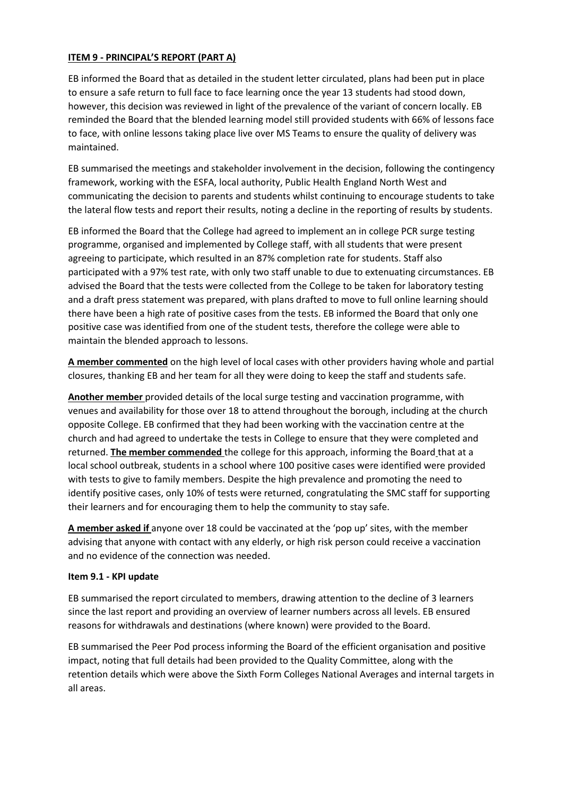## **ITEM 9 - PRINCIPAL'S REPORT (PART A)**

EB informed the Board that as detailed in the student letter circulated, plans had been put in place to ensure a safe return to full face to face learning once the year 13 students had stood down, however, this decision was reviewed in light of the prevalence of the variant of concern locally. EB reminded the Board that the blended learning model still provided students with 66% of lessons face to face, with online lessons taking place live over MS Teams to ensure the quality of delivery was maintained.

EB summarised the meetings and stakeholder involvement in the decision, following the contingency framework, working with the ESFA, local authority, Public Health England North West and communicating the decision to parents and students whilst continuing to encourage students to take the lateral flow tests and report their results, noting a decline in the reporting of results by students.

EB informed the Board that the College had agreed to implement an in college PCR surge testing programme, organised and implemented by College staff, with all students that were present agreeing to participate, which resulted in an 87% completion rate for students. Staff also participated with a 97% test rate, with only two staff unable to due to extenuating circumstances. EB advised the Board that the tests were collected from the College to be taken for laboratory testing and a draft press statement was prepared, with plans drafted to move to full online learning should there have been a high rate of positive cases from the tests. EB informed the Board that only one positive case was identified from one of the student tests, therefore the college were able to maintain the blended approach to lessons.

**A member commented** on the high level of local cases with other providers having whole and partial closures, thanking EB and her team for all they were doing to keep the staff and students safe.

**Another member** provided details of the local surge testing and vaccination programme, with venues and availability for those over 18 to attend throughout the borough, including at the church opposite College. EB confirmed that they had been working with the vaccination centre at the church and had agreed to undertake the tests in College to ensure that they were completed and returned. **The member commended** the college for this approach, informing the Board that at a local school outbreak, students in a school where 100 positive cases were identified were provided with tests to give to family members. Despite the high prevalence and promoting the need to identify positive cases, only 10% of tests were returned, congratulating the SMC staff for supporting their learners and for encouraging them to help the community to stay safe.

**A member asked if** anyone over 18 could be vaccinated at the 'pop up' sites, with the member advising that anyone with contact with any elderly, or high risk person could receive a vaccination and no evidence of the connection was needed.

#### **Item 9.1 - KPI update**

EB summarised the report circulated to members, drawing attention to the decline of 3 learners since the last report and providing an overview of learner numbers across all levels. EB ensured reasons for withdrawals and destinations (where known) were provided to the Board.

EB summarised the Peer Pod process informing the Board of the efficient organisation and positive impact, noting that full details had been provided to the Quality Committee, along with the retention details which were above the Sixth Form Colleges National Averages and internal targets in all areas.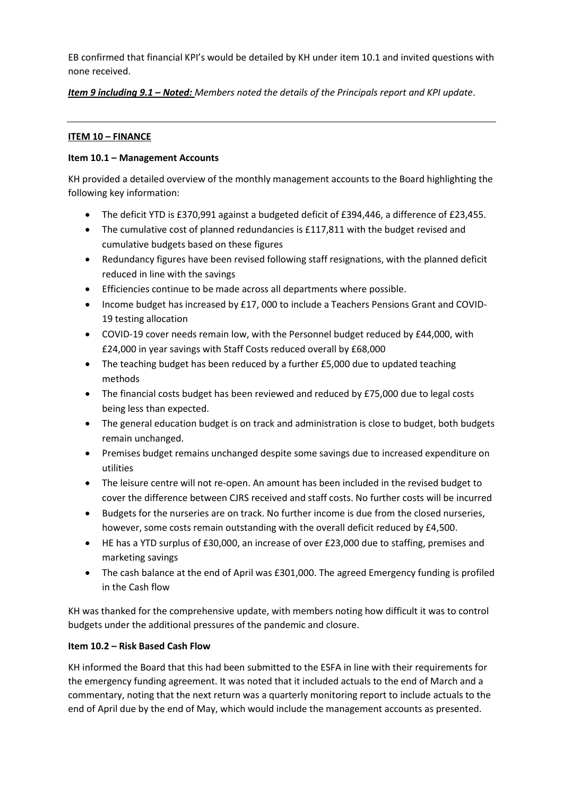EB confirmed that financial KPI's would be detailed by KH under item 10.1 and invited questions with none received.

*Item 9 including 9.1 – Noted: Members noted the details of the Principals report and KPI update*.

# **ITEM 10 – FINANCE**

## **Item 10.1 – Management Accounts**

KH provided a detailed overview of the monthly management accounts to the Board highlighting the following key information:

- The deficit YTD is £370,991 against a budgeted deficit of £394,446, a difference of £23,455.
- The cumulative cost of planned redundancies is £117,811 with the budget revised and cumulative budgets based on these figures
- Redundancy figures have been revised following staff resignations, with the planned deficit reduced in line with the savings
- Efficiencies continue to be made across all departments where possible.
- Income budget has increased by £17, 000 to include a Teachers Pensions Grant and COVID-19 testing allocation
- COVID-19 cover needs remain low, with the Personnel budget reduced by £44,000, with £24,000 in year savings with Staff Costs reduced overall by £68,000
- The teaching budget has been reduced by a further £5,000 due to updated teaching methods
- The financial costs budget has been reviewed and reduced by £75,000 due to legal costs being less than expected.
- The general education budget is on track and administration is close to budget, both budgets remain unchanged.
- Premises budget remains unchanged despite some savings due to increased expenditure on utilities
- The leisure centre will not re-open. An amount has been included in the revised budget to cover the difference between CJRS received and staff costs. No further costs will be incurred
- Budgets for the nurseries are on track. No further income is due from the closed nurseries, however, some costs remain outstanding with the overall deficit reduced by £4,500.
- HE has a YTD surplus of £30,000, an increase of over £23,000 due to staffing, premises and marketing savings
- The cash balance at the end of April was £301,000. The agreed Emergency funding is profiled in the Cash flow

KH was thanked for the comprehensive update, with members noting how difficult it was to control budgets under the additional pressures of the pandemic and closure.

# **Item 10.2 – Risk Based Cash Flow**

KH informed the Board that this had been submitted to the ESFA in line with their requirements for the emergency funding agreement. It was noted that it included actuals to the end of March and a commentary, noting that the next return was a quarterly monitoring report to include actuals to the end of April due by the end of May, which would include the management accounts as presented.